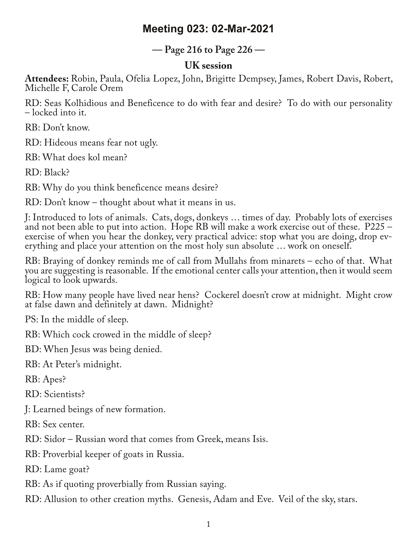## **Meeting 023: 02-Mar-2021**

**— Page 216 to Page 226 —**

## **UK session**

**Attendees:** Robin, Paula, Ofelia Lopez, John, Brigitte Dempsey, James, Robert Davis, Robert, Michelle F, Carole Orem

RD: Seas Kolhidious and Beneficence to do with fear and desire? To do with our personality – locked into it.

RB: Don't know.

RD: Hideous means fear not ugly.

RB: What does kol mean?

RD: Black?

RB: Why do you think beneficence means desire?

RD: Don't know – thought about what it means in us.

J: Introduced to lots of animals. Cats, dogs, donkeys … times of day. Probably lots of exercises and not been able to put into action. Hope RB will make a work exercise out of these. P225 – exercise of when you hear the donkey, very practical advice: stop what you are doing, drop everything and place your attention on the most holy sun absolute ... work on oneself.

RB: Braying of donkey reminds me of call from Mullahs from minarets – echo of that. What you are suggesting is reasonable. If the emotional center calls your attention, then it would seem logical to look upwards.

RB: How many people have lived near hens? Cockerel doesn't crow at midnight. Might crow at false dawn and definitely at dawn. Midnight?

PS: In the middle of sleep.

RB: Which cock crowed in the middle of sleep?

BD: When Jesus was being denied.

RB: At Peter's midnight.

RB: Apes?

RD: Scientists?

J: Learned beings of new formation.

RB: Sex center.

RD: Sidor – Russian word that comes from Greek, means Isis.

RB: Proverbial keeper of goats in Russia.

RD: Lame goat?

RB: As if quoting proverbially from Russian saying.

RD: Allusion to other creation myths. Genesis, Adam and Eve. Veil of the sky, stars.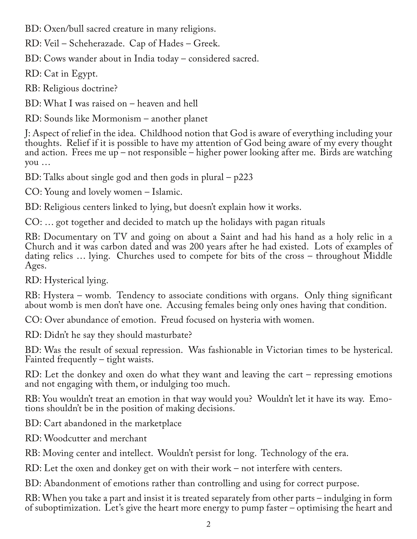BD: Oxen/bull sacred creature in many religions.

RD: Veil – Scheherazade. Cap of Hades – Greek.

BD: Cows wander about in India today – considered sacred.

RD: Cat in Egypt.

RB: Religious doctrine?

BD: What I was raised on – heaven and hell

RD: Sounds like Mormonism – another planet

J: Aspect of relief in the idea. Childhood notion that God is aware of everything including your thoughts. Relief if it is possible to have my attention of God being aware of my every thought and action. Frees me up – not responsible – higher power looking after me. Birds are watching you …

BD: Talks about single god and then gods in plural – p223

CO: Young and lovely women – Islamic.

BD: Religious centers linked to lying, but doesn't explain how it works.

CO: … got together and decided to match up the holidays with pagan rituals

RB: Documentary on TV and going on about a Saint and had his hand as a holy relic in a Church and it was carbon dated and was 200 years after he had existed. Lots of examples of dating relics … lying. Churches used to compete for bits of the cross – throughout Middle Ages.

RD: Hysterical lying.

RB: Hystera – womb. Tendency to associate conditions with organs. Only thing significant about womb is men don't have one. Accusing females being only ones having that condition.

CO: Over abundance of emotion. Freud focused on hysteria with women.

RD: Didn't he say they should masturbate?

BD: Was the result of sexual repression. Was fashionable in Victorian times to be hysterical. Fainted frequently – tight waists.

RD: Let the donkey and oxen do what they want and leaving the cart – repressing emotions and not engaging with them, or indulging too much.

RB: You wouldn't treat an emotion in that way would you? Wouldn't let it have its way. Emo-<br>tions shouldn't be in the position of making decisions.

BD: Cart abandoned in the marketplace

RD: Woodcutter and merchant

RB: Moving center and intellect. Wouldn't persist for long. Technology of the era.

RD: Let the oxen and donkey get on with their work – not interfere with centers.

BD: Abandonment of emotions rather than controlling and using for correct purpose.

RB: When you take a part and insist it is treated separately from other parts – indulging in form of suboptimization. Let's give the heart more energy to pump faster – optimising the heart and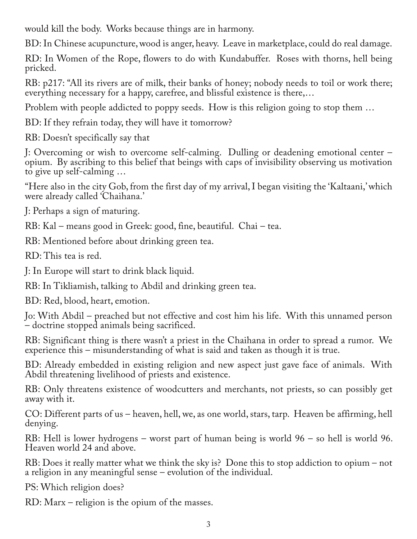would kill the body. Works because things are in harmony.

BD: In Chinese acupuncture, wood is anger, heavy. Leave in marketplace, could do real damage.

RD: In Women of the Rope, flowers to do with Kundabuffer. Roses with thorns, hell being pricked.

RB: p217: "All its rivers are of milk, their banks of honey; nobody needs to toil or work there; everything necessary for a happy, carefree, and blissful existence is there,…

Problem with people addicted to poppy seeds. How is this religion going to stop them …

BD: If they refrain today, they will have it tomorrow?

RB: Doesn't specifically say that

J: Overcoming or wish to overcome self-calming. Dulling or deadening emotional center – opium. By ascribing to this belief that beings with caps of invisibility observing us motivation to give up self-calming …

"Here also in the city Gob, from the first day of my arrival, I began visiting the 'Kaltaani,' which were already called 'Chaihana.'

J: Perhaps a sign of maturing.

RB: Kal – means good in Greek: good, fine, beautiful. Chai – tea.

RB: Mentioned before about drinking green tea.

RD: This tea is red.

J: In Europe will start to drink black liquid.

RB: In Tikliamish, talking to Abdil and drinking green tea.

BD: Red, blood, heart, emotion.

Jo: With Abdil – preached but not effective and cost him his life. With this unnamed person – doctrine stopped animals being sacrificed.

RB: Significant thing is there wasn't a priest in the Chaihana in order to spread a rumor. We experience this – misunderstanding of what is said and taken as though it is true.

BD: Already embedded in existing religion and new aspect just gave face of animals. With Abdil threatening livelihood of priests and existence.

RB: Only threatens existence of woodcutters and merchants, not priests, so can possibly get away with it.

CO: Different parts of us – heaven, hell, we, as one world, stars, tarp. Heaven be affirming, hell denying.

RB: Hell is lower hydrogens – worst part of human being is world 96 – so hell is world 96. Heaven world 24 and above.

RB: Does it really matter what we think the sky is? Done this to stop addiction to opium – not a religion in any meaningful sense – evolution of the individual.

PS: Which religion does?

RD: Marx – religion is the opium of the masses.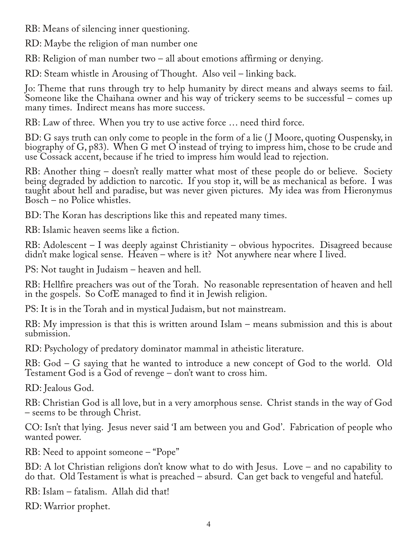RB: Means of silencing inner questioning.

RD: Maybe the religion of man number one

RB: Religion of man number two – all about emotions affirming or denying.

RD: Steam whistle in Arousing of Thought. Also veil – linking back.

Jo: Theme that runs through try to help humanity by direct means and always seems to fail. Someone like the Chaihana owner and his way of trickery seems to be successful – comes up many times. Indirect means has more success.

RB: Law of three. When you try to use active force … need third force.

BD: G says truth can only come to people in the form of a lie (J Moore, quoting Ouspensky, in biography of G, p83). When G met O instead of trying to impress him, chose to be crude and use Cossack accent, because if he tried to impress him would lead to rejection.

RB: Another thing – doesn't really matter what most of these people do or believe. Society being degraded by addiction to narcotic. If you stop it, will be as mechanical as before. I was taught about hell and paradise, but was never given pictures. My idea was from Hieronymus Bosch – no Police whistles.

BD: The Koran has descriptions like this and repeated many times.

RB: Islamic heaven seems like a fiction.

RB: Adolescent – I was deeply against Christianity – obvious hypocrites. Disagreed because didn't make logical sense. Heaven – where is it? Not anywhere near where I lived.

PS: Not taught in Judaism – heaven and hell.

RB: Hellfire preachers was out of the Torah. No reasonable representation of heaven and hell in the gospels. So CofE managed to find it in Jewish religion.

PS: It is in the Torah and in mystical Judaism, but not mainstream.

RB: My impression is that this is written around Islam – means submission and this is about submission.

RD: Psychology of predatory dominator mammal in atheistic literature.

RB: God – G saying that he wanted to introduce a new concept of God to the world. Old Testament God is a God of revenge – don't want to cross him.

RD: Jealous God.

RB: Christian God is all love, but in a very amorphous sense. Christ stands in the way of God – seems to be through Christ.

CO: Isn't that lying. Jesus never said 'I am between you and God'. Fabrication of people who wanted power.

RB: Need to appoint someone – "Pope"

BD: A lot Christian religions don't know what to do with Jesus. Love – and no capability to do that. Old Testament is what is preached – absurd. Can get back to vengeful and hateful.

RB: Islam – fatalism. Allah did that!

RD: Warrior prophet.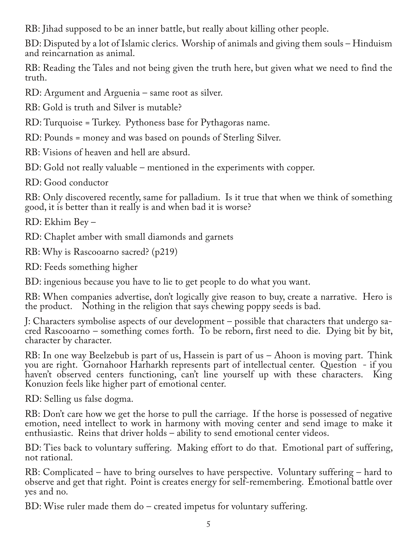RB: Jihad supposed to be an inner battle, but really about killing other people.

BD: Disputed by a lot of Islamic clerics. Worship of animals and giving them souls – Hinduism and reincarnation as animal.

RB: Reading the Tales and not being given the truth here, but given what we need to find the truth.

RD: Argument and Arguenia – same root as silver.

RB: Gold is truth and Silver is mutable?

RD: Turquoise = Turkey. Pythoness base for Pythagoras name.

RD: Pounds = money and was based on pounds of Sterling Silver.

RB: Visions of heaven and hell are absurd.

BD: Gold not really valuable – mentioned in the experiments with copper.

RD: Good conductor

RB: Only discovered recently, same for palladium. Is it true that when we think of something good, it is better than it really is and when bad it is worse?

RD: Ekhim Bey –

RD: Chaplet amber with small diamonds and garnets

RB: Why is Rascooarno sacred? (p219)

RD: Feeds something higher

BD: ingenious because you have to lie to get people to do what you want.

RB: When companies advertise, don't logically give reason to buy, create a narrative. Hero is the product. Nothing in the religion that says chewing poppy seeds is bad.

J: Characters symbolise aspects of our development – possible that characters that undergo sa‐ cred Rascooarno - something comes forth. To be reborn, first need to die. Dying bit by bit, character by character.

RB: In one way Beelzebub is part of us, Hassein is part of us – Ahoon is moving part. Think you are right. Gornahoor Harharkh represents part of intellectual center. Question - if you haven't observed centers functioning, can't line yourself up with these characters. King Konuzion feels like higher part of emotional center.

RD: Selling us false dogma.

RB: Don't care how we get the horse to pull the carriage. If the horse is possessed of negative emotion, need intellect to work in harmony with moving center and send image to make it enthusiastic. Reins that driver holds – ability to send emotional center videos.

BD: Ties back to voluntary suffering. Making effort to do that. Emotional part of suffering, not rational.

RB: Complicated – have to bring ourselves to have perspective. Voluntary suffering – hard to observe and get that right. Point is creates energy for self-remembering. Emotional battle over yes and no.

BD: Wise ruler made them do – created impetus for voluntary suffering.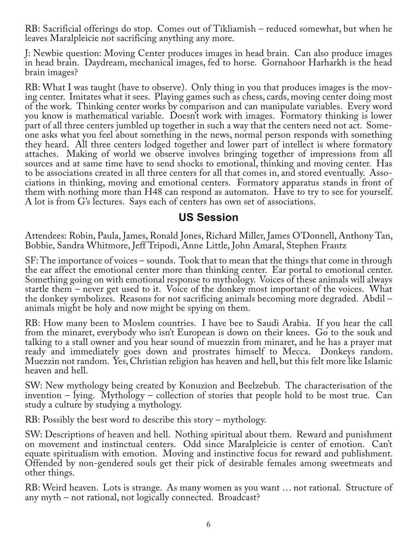RB: Sacrificial offerings do stop. Comes out of Tikliamish – reduced somewhat, but when he leaves Maralpleicie not sacrificing anything any more.

J: Newbie question: Moving Center produces images in head brain. Can also produce images in head brain. Daydream, mechanical images, fed to horse. Gornahoor Harharkh is the head brain images?

RB: What I was taught (have to observe). Only thing in you that produces images is the moving center. Imitates what it sees. Playing games such as chess, cards, moving center doing most of the work. Thinking center works by comparison and can manipulate variables. Every word you know is mathematical variable. Doesn't work with images. Formatory thinking is lower part of all three centers jumbled up together in such a way that the centers need not act. Some‐ one asks what you feel about something in the news, normal person responds with something they heard. All three centers lodged together and lower part of intellect is where formatory attaches. Making of world we observe involves bringing together of impressions from all sources and at same time have to send shocks to emotional, thinking and moving center. Has to be associations created in all three centers for all that comes in, and stored eventually. Associations in thinking, moving and emotional centers. Formatory apparatus stands in front of them with nothing more than H48 can respond as automaton. Have to try to see for yourself. A lot is from G's lectures. Says each of centers has own set of associations.

## **US Session**

Attendees: Robin, Paula, James, Ronald Jones, Richard Miller, James O'Donnell, Anthony Tan, Bobbie, Sandra Whitmore, Jeff Tripodi, Anne Little, John Amaral, Stephen Frantz

SF: The importance of voices – sounds. Took that to mean that the things that come in through the ear affect the emotional center more than thinking center. Ear portal to emotional center. Something going on with emotional response to mythology. Voices of these animals will always startle them – never get used to it. Voice of the donkey most important of the voices. What the donkey symbolizes. Reasons for not sacrificing animals becoming more degraded. Abdil – animals might be holy and now might be spying on them.

RB: How many been to Moslem countries. I have bee to Saudi Arabia. If you hear the call from the minaret, everybody who isn't European is down on their knees. Go to the souk and talking to a stall owner and you hear sound of muezzin from minaret, and he has a prayer mat ready and immediately goes down and prostrates himself to Mecca. Donkeys random. Muezzin not random. Yes, Christian religion has heaven and hell, but this felt more like Islamic heaven and hell.

SW: New mythology being created by Konuzion and Beelzebub. The characterisation of the invention – lying. Mythology – collection of stories that people hold to be most true. Can study a culture by studying a mythology.

RB: Possibly the best word to describe this story – mythology.

SW: Descriptions of heaven and hell. Nothing spiritual about them. Reward and punishment on movement and instinctual centers. Odd since Maralpleicie is center of emotion. Can't equate spiritualism with emotion. Moving and instinctive focus for reward and publishment. Offended by non-gendered souls get their pick of desirable females among sweetmeats and other things.

RB: Weird heaven. Lots is strange. As many women as you want … not rational. Structure of any myth – not rational, not logically connected. Broadcast?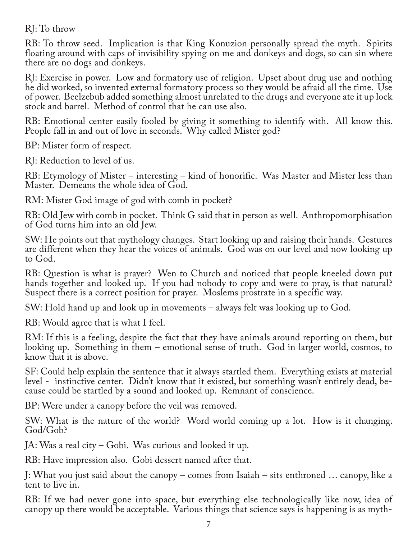## RJ: To throw

RB: To throw seed. Implication is that King Konuzion personally spread the myth. Spirits floating around with caps of invisibility spying on me and donkeys and dogs, so can sin where there are no dogs and donkeys.

RJ: Exercise in power. Low and formatory use of religion. Upset about drug use and nothing he did worked, so invented external formatory process so they would be afraid all the time. Use of power. Beelzebub added something almost unrelated to the drugs and everyone ate it up lock stock and barrel. Method of control that he can use also.

RB: Emotional center easily fooled by giving it something to identify with. All know this. People fall in and out of love in seconds. Why called Mister god?

BP: Mister form of respect.

RJ: Reduction to level of us.

RB: Etymology of Mister – interesting – kind of honorific. Was Master and Mister less than Master. Demeans the whole idea of God.

RM: Mister God image of god with comb in pocket?

RB: Old Jew with comb in pocket. Think G said that in person as well. Anthropomorphisation of God turns him into an old Jew.

SW: He points out that mythology changes. Start looking up and raising their hands. Gestures are different when they hear the voices of animals. God was on our level and now looking up to God.

RB: Question is what is prayer? Wen to Church and noticed that people kneeled down put hands together and looked up. If you had nobody to copy and were to pray, is that natural? Suspect there is a correct position for prayer. Moslems prostrate in a specific way.

SW: Hold hand up and look up in movements – always felt was looking up to God.

RB: Would agree that is what I feel.

RM: If this is a feeling, despite the fact that they have animals around reporting on them, but looking up. Something in them – emotional sense of truth. God in larger world, cosmos, to know that it is above.

SF: Could help explain the sentence that it always startled them. Everything exists at material level - instinctive center. Didn't know that it existed, but something wasn't entirely dead, be‐ cause could be startled by a sound and looked up. Remnant of conscience.

BP: Were under a canopy before the veil was removed.

SW: What is the nature of the world? Word world coming up a lot. How is it changing. God/Gob?

JA: Was a real city – Gobi. Was curious and looked it up.

RB: Have impression also. Gobi dessert named after that.

J: What you just said about the canopy – comes from Isaiah – sits enthroned … canopy, like a tent to live in.

RB: If we had never gone into space, but everything else technologically like now, idea of canopy up there would be acceptable. Various things that science says is happening is as myth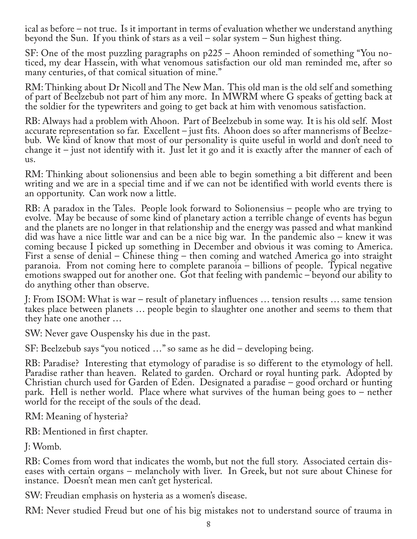ical as before – not true. Is it important in terms of evaluation whether we understand anything beyond the Sun. If you think of stars as a veil – solar system – Sun highest thing.

SF: One of the most puzzling paragraphs on p225 – Ahoon reminded of something "You no‐ ticed, my dear Hassein, with what venomous satisfaction our old man reminded me, after so many centuries, of that comical situation of mine."

RM: Thinking about Dr Nicoll and The New Man. This old man is the old self and something of part of Beelzebub not part of him any more. In MWRM where G speaks of getting back at the soldier for the typewriters and going to get back at him with venomous satisfaction.

RB: Always had a problem with Ahoon. Part of Beelzebub in some way. It is his old self. Most accurate representation so far. Excellent – just fits. Ahoon does so after mannerisms of Beelze‐ bub. We kind of know that most of our personality is quite useful in world and don't need to change it – just not identify with it. Just let it go and it is exactly after the manner of each of us.

RM: Thinking about solionensius and been able to begin something a bit different and been writing and we are in a special time and if we can not be identified with world events there is an opportunity. Can work now a little.

RB: A paradox in the Tales. People look forward to Solionensius – people who are trying to evolve. May be because of some kind of planetary action a terrible change of events has begun and the planets are no longer in that relationship and the energy was passed and what mankind did was have a nice little war and can be a nice big war. In the pandemic also – knew it was coming because I picked up something in December and obvious it was coming to America. First a sense of denial – Chinese thing – then coming and watched America go into straight paranoia. From not coming here to complete paranoia – billions of people. Typical negative emotions swapped out for another one. Got that feeling with pandemic – beyond our ability to do anything other than observe.

J: From ISOM: What is war – result of planetary influences … tension results … same tension takes place between planets … people begin to slaughter one another and seems to them that they hate one another …

SW: Never gave Ouspensky his due in the past.

SF: Beelzebub says "you noticed …" so same as he did – developing being.

RB: Paradise? Interesting that etymology of paradise is so different to the etymology of hell. Paradise rather than heaven. Related to garden. Orchard or royal hunting park. Adopted by Christian church used for Garden of Eden. Designated a paradise – good orchard or hunting park. Hell is nether world. Place where what survives of the human being goes to – nether world for the receipt of the souls of the dead.

RM: Meaning of hysteria?

RB: Mentioned in first chapter.

J: Womb.

RB: Comes from word that indicates the womb, but not the full story. Associated certain dis‐ eases with certain organs – melancholy with liver. In Greek, but not sure about Chinese for instance. Doesn't mean men can't get hysterical.

SW: Freudian emphasis on hysteria as a women's disease.

RM: Never studied Freud but one of his big mistakes not to understand source of trauma in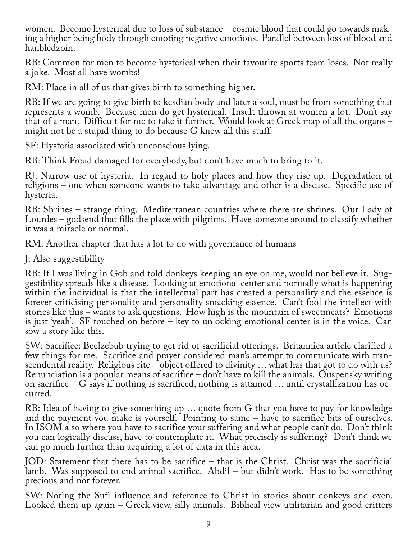women. Become hysterical due to loss of substance – cosmic blood that could go towards making a higher being body through emoting negative emotions. Parallel between loss of blood and hanbledzoin.

RB: Common for men to become hysterical when their favourite sports team loses. Not really a joke. Most all have wombs!

RM: Place in all of us that gives birth to something higher.

RB: If we are going to give birth to kesdjan body and later a soul, must be from something that represents a womb. Because men do get hysterical. Insult thrown at women a lot. Don't say that of a man. Difficult for me to take it further. Would look at Greek map of all the organs – might not be a stupid thing to do because G knew all this stuff.

SF: Hysteria associated with unconscious lying.

RB: Think Freud damaged for everybody, but don't have much to bring to it.

RJ: Narrow use of hysteria. In regard to holy places and how they rise up. Degradation of religions – one when someone wants to take advantage and other is a disease. Specific use of hysteria.

RB: Shrines – strange thing. Mediterranean countries where there are shrines. Our Lady of Lourdes – godsend that fills the place with pilgrims. Have someone around to classify whether it was a miracle or normal.

RM: Another chapter that has a lot to do with governance of humans

J: Also suggestibility

RB: If I was living in Gob and told donkeys keeping an eye on me, would not believe it. Suggestibility spreads like a disease. Looking at emotional center and normally what is happening within the individual is that the intellectual part has created a personality and the essence is forever criticising personality and personality smacking essence. Can't fool the intellect with stories like this – wants to ask questions. How high is the mountain of sweetmeats? Emotions is just 'yeah'. SF touched on before – key to unlocking emotional center is in the voice. Can sow a story like this.

SW: Sacrifice: Beelzebub trying to get rid of sacrificial offerings. Britannica article clarified a few things for me. Sacrifice and prayer considered man's attempt to communicate with transcendental reality. Religious rite – object offered to divinity … what has that got to do with us? Renunciation is a popular means of sacrifice – don't have to kill the animals. Ouspensky writing on sacrifice – G says if nothing is sacrificed, nothing is attained … until crystallization has oc‐ curred.

RB: Idea of having to give something up … quote from G that you have to pay for knowledge and the payment you make is yourself. Pointing to same – have to sacrifice bits of ourselves. In ISOM also where you have to sacrifice your suffering and what people can't do. Don't think you can logically discuss, have to contemplate it. What precisely is suffering? Don't think we can go much further than acquiring a lot of data in this area.

JOD: Statement that there has to be sacrifice – that is the Christ. Christ was the sacrificial lamb. Was supposed to end animal sacrifice. Abdil – but didn't work. Has to be something precious and not forever.

SW: Noting the Sufi influence and reference to Christ in stories about donkeys and oxen. Looked them up again – Greek view, silly animals. Biblical view utilitarian and good critters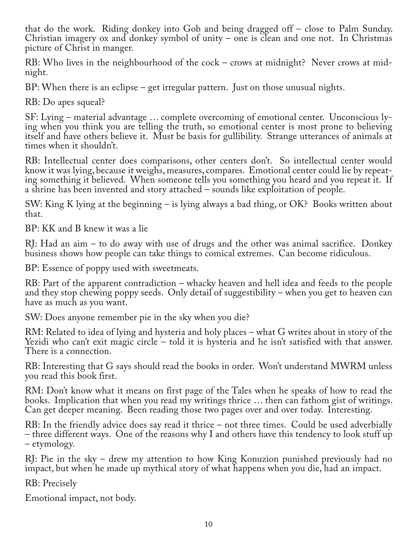that do the work. Riding donkey into Gob and being dragged off – close to Palm Sunday. Christian imagery ox and donkey symbol of unity – one is clean and one not. In Christmas picture of Christ in manger.

RB: Who lives in the neighbourhood of the cock – crows at midnight? Never crows at midnight.

BP: When there is an eclipse – get irregular pattern. Just on those unusual nights.

RB: Do apes squeal?

SF: Lying – material advantage … complete overcoming of emotional center. Unconscious ly‐ ing when you think you are telling the truth, so emotional center is most prone to believing itself and have others believe it. Must be basis for gullibility. Strange utterances of animals at times when it shouldn't.

RB: Intellectual center does comparisons, other centers don't. So intellectual center would know it was lying, because it weighs, measures, compares. Emotional center could lie by repeat‐ ing something it believed. When someone tells you something you heard and you repeat it. If a shrine has been invented and story attached – sounds like exploitation of people.

SW: King K lying at the beginning – is lying always a bad thing, or OK? Books written about that.

BP: KK and B knew it was a lie

RJ: Had an aim – to do away with use of drugs and the other was animal sacrifice. Donkey business shows how people can take things to comical extremes. Can become ridiculous.

BP: Essence of poppy used with sweetmeats.

RB: Part of the apparent contradiction – whacky heaven and hell idea and feeds to the people and they stop chewing poppy seeds. Only detail of suggestibility – when you get to heaven can have as much as you want.

SW: Does anyone remember pie in the sky when you die?

RM: Related to idea of lying and hysteria and holy places – what G writes about in story of the Yezidi who can't exit magic circle – told it is hysteria and he isn't satisfied with that answer. There is a connection.

RB: Interesting that G says should read the books in order. Won't understand MWRM unless you read this book first.

RM: Don't know what it means on first page of the Tales when he speaks of how to read the books. Implication that when you read my writings thrice … then can fathom gist of writings. Can get deeper meaning. Been reading those two pages over and over today. Interesting.

RB: In the friendly advice does say read it thrice – not three times. Could be used adverbially – three different ways. One of the reasons why I and others have this tendency to look stuff up – etymology.

RJ: Pie in the sky – drew my attention to how King Konuzion punished previously had no impact, but when he made up mythical story of what happens when you die, had an impact.

RB: Precisely

Emotional impact, not body.